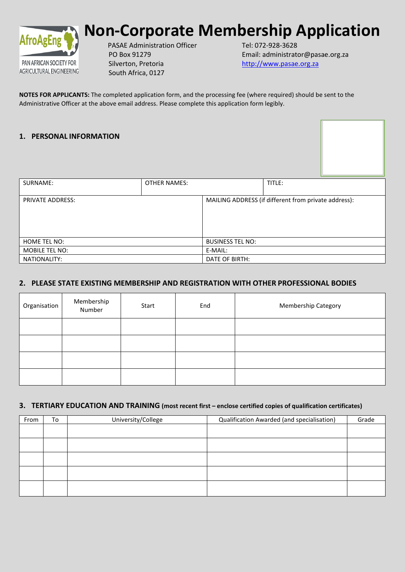

# **Non-Corporate Membership Application**

PASAE Administration Officer PO Box 91279 Silverton, Pretoria South Africa, 0127

Tel: 072-928-3628 Email: administrator@pasae.org.za [http://www.pasae.org.za](http://www.pasae.org.za/)

**NOTES FOR APPLICANTS:** The completed application form, and the processing fee (where required) should be sent to the Administrative Officer at the above email address. Please complete this application form legibly.

## **1. PERSONAL INFORMATION**

| SURNAME:                | <b>OTHER NAMES:</b> |                         | TITLE:                                               |  |
|-------------------------|---------------------|-------------------------|------------------------------------------------------|--|
| <b>PRIVATE ADDRESS:</b> |                     |                         | MAILING ADDRESS (if different from private address): |  |
| HOME TEL NO:            |                     | <b>BUSINESS TEL NO:</b> |                                                      |  |
| MOBILE TEL NO:          |                     | E-MAIL:                 |                                                      |  |
| NATIONALITY:            |                     | DATE OF BIRTH:          |                                                      |  |

# **2. PLEASE STATE EXISTING MEMBERSHIP AND REGISTRATION WITH OTHER PROFESSIONAL BODIES**

| Organisation | Membership<br>Number | Start | End | Membership Category |
|--------------|----------------------|-------|-----|---------------------|
|              |                      |       |     |                     |
|              |                      |       |     |                     |
|              |                      |       |     |                     |
|              |                      |       |     |                     |

## **3. TERTIARY EDUCATION AND TRAINING (most recent first – enclose certified copies of qualification certificates)**

| From | To | University/College | Qualification Awarded (and specialisation) | Grade |
|------|----|--------------------|--------------------------------------------|-------|
|      |    |                    |                                            |       |
|      |    |                    |                                            |       |
|      |    |                    |                                            |       |
|      |    |                    |                                            |       |
|      |    |                    |                                            |       |